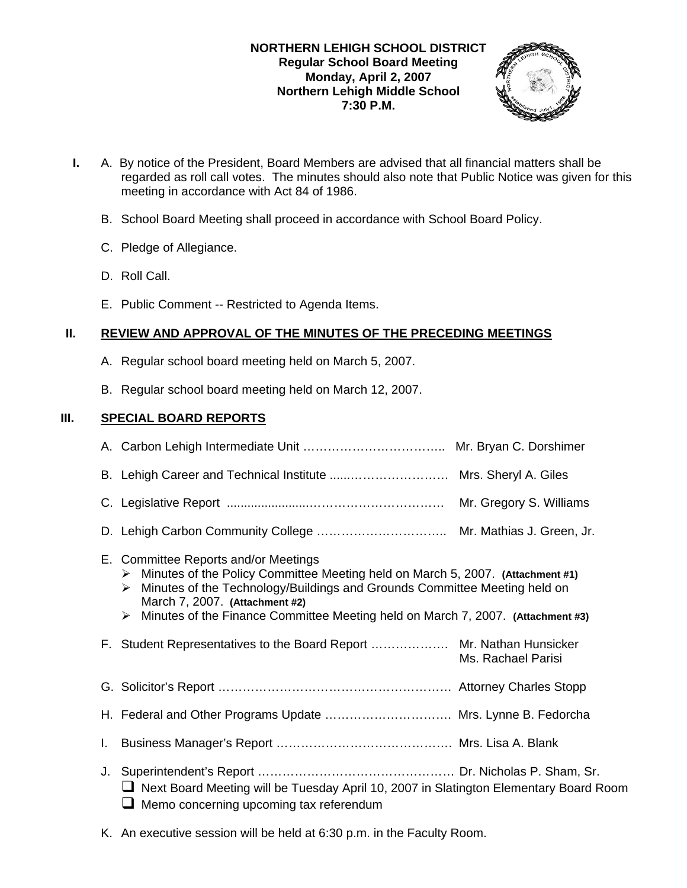## **NORTHERN LEHIGH SCHOOL DISTRICT Regular School Board Meeting Monday, April 2, 2007 Northern Lehigh Middle School 7:30 P.M.**



- **I.** A. By notice of the President, Board Members are advised that all financial matters shall be regarded as roll call votes. The minutes should also note that Public Notice was given for this meeting in accordance with Act 84 of 1986.
	- B. School Board Meeting shall proceed in accordance with School Board Policy.
	- C. Pledge of Allegiance.
	- D. Roll Call.
	- E. Public Comment -- Restricted to Agenda Items.

# **II. REVIEW AND APPROVAL OF THE MINUTES OF THE PRECEDING MEETINGS**

- A. Regular school board meeting held on March 5, 2007.
- B. Regular school board meeting held on March 12, 2007.

# **III. SPECIAL BOARD REPORTS**

|    | E. Committee Reports and/or Meetings<br>Minutes of the Policy Committee Meeting held on March 5, 2007. (Attachment #1)<br>➤<br>Minutes of the Technology/Buildings and Grounds Committee Meeting held on<br>➤<br>March 7, 2007. (Attachment #2)<br>Minutes of the Finance Committee Meeting held on March 7, 2007. (Attachment #3)<br>➤ |                    |
|----|-----------------------------------------------------------------------------------------------------------------------------------------------------------------------------------------------------------------------------------------------------------------------------------------------------------------------------------------|--------------------|
|    | F. Student Representatives to the Board Report  Mr. Nathan Hunsicker                                                                                                                                                                                                                                                                    | Ms. Rachael Parisi |
|    |                                                                                                                                                                                                                                                                                                                                         |                    |
|    | H. Federal and Other Programs Update  Mrs. Lynne B. Fedorcha                                                                                                                                                                                                                                                                            |                    |
| L. |                                                                                                                                                                                                                                                                                                                                         |                    |
|    | □ Next Board Meeting will be Tuesday April 10, 2007 in Slatington Elementary Board Room<br>Memo concerning upcoming tax referendum                                                                                                                                                                                                      |                    |

K. An executive session will be held at 6:30 p.m. in the Faculty Room.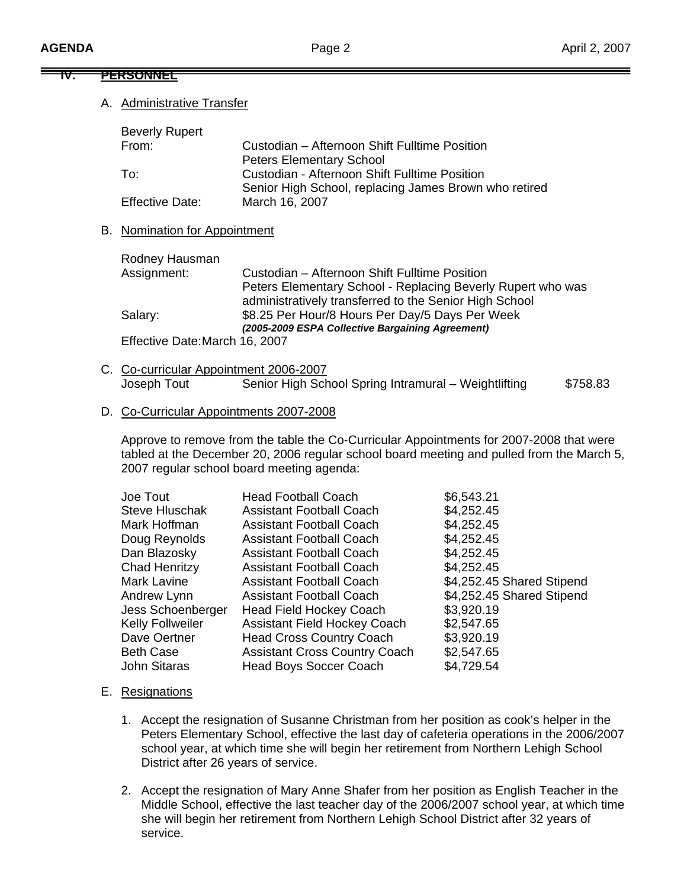#### **IV. PERSONNEL**

### A. Administrative Transfer

| <b>Beverly Rupert</b>  |                                                       |  |
|------------------------|-------------------------------------------------------|--|
| From:                  | Custodian - Afternoon Shift Fulltime Position         |  |
|                        | <b>Peters Elementary School</b>                       |  |
| To:                    | Custodian - Afternoon Shift Fulltime Position         |  |
|                        | Senior High School, replacing James Brown who retired |  |
| <b>Effective Date:</b> | March 16, 2007                                        |  |

### B. Nomination for Appointment

| Custodian - Afternoon Shift Fulltime Position                                                                         |
|-----------------------------------------------------------------------------------------------------------------------|
| Peters Elementary School - Replacing Beverly Rupert who was<br>administratively transferred to the Senior High School |
| \$8.25 Per Hour/8 Hours Per Day/5 Days Per Week                                                                       |
| (2005-2009 ESPA Collective Bargaining Agreement)                                                                      |
|                                                                                                                       |
|                                                                                                                       |

C. Co-curricular Appointment 2006-2007 Joseph Tout **Senior High School Spring Intramural – Weightlifting** \$758.83

### D. Co-Curricular Appointments 2007-2008

 Approve to remove from the table the Co-Curricular Appointments for 2007-2008 that were tabled at the December 20, 2006 regular school board meeting and pulled from the March 5, 2007 regular school board meeting agenda:

| Joe Tout              | <b>Head Football Coach</b>           | \$6,543.21                |
|-----------------------|--------------------------------------|---------------------------|
| <b>Steve Hluschak</b> | <b>Assistant Football Coach</b>      | \$4,252.45                |
| Mark Hoffman          | <b>Assistant Football Coach</b>      | \$4,252.45                |
| Doug Reynolds         | <b>Assistant Football Coach</b>      | \$4,252.45                |
| Dan Blazosky          | <b>Assistant Football Coach</b>      | \$4,252.45                |
| Chad Henritzy         | <b>Assistant Football Coach</b>      | \$4,252.45                |
| Mark Lavine           | Assistant Football Coach             | \$4,252.45 Shared Stipend |
| Andrew Lynn           | <b>Assistant Football Coach</b>      | \$4,252.45 Shared Stipend |
| Jess Schoenberger     | <b>Head Field Hockey Coach</b>       | \$3,920.19                |
| Kelly Follweiler      | <b>Assistant Field Hockey Coach</b>  | \$2,547.65                |
| Dave Oertner          | <b>Head Cross Country Coach</b>      | \$3,920.19                |
| <b>Beth Case</b>      | <b>Assistant Cross Country Coach</b> | \$2,547.65                |
| <b>John Sitaras</b>   | <b>Head Boys Soccer Coach</b>        | \$4,729.54                |
|                       |                                      |                           |

### E. Resignations

- 1. Accept the resignation of Susanne Christman from her position as cook's helper in the Peters Elementary School, effective the last day of cafeteria operations in the 2006/2007 school year, at which time she will begin her retirement from Northern Lehigh School District after 26 years of service.
- 2. Accept the resignation of Mary Anne Shafer from her position as English Teacher in the Middle School, effective the last teacher day of the 2006/2007 school year, at which time she will begin her retirement from Northern Lehigh School District after 32 years of service.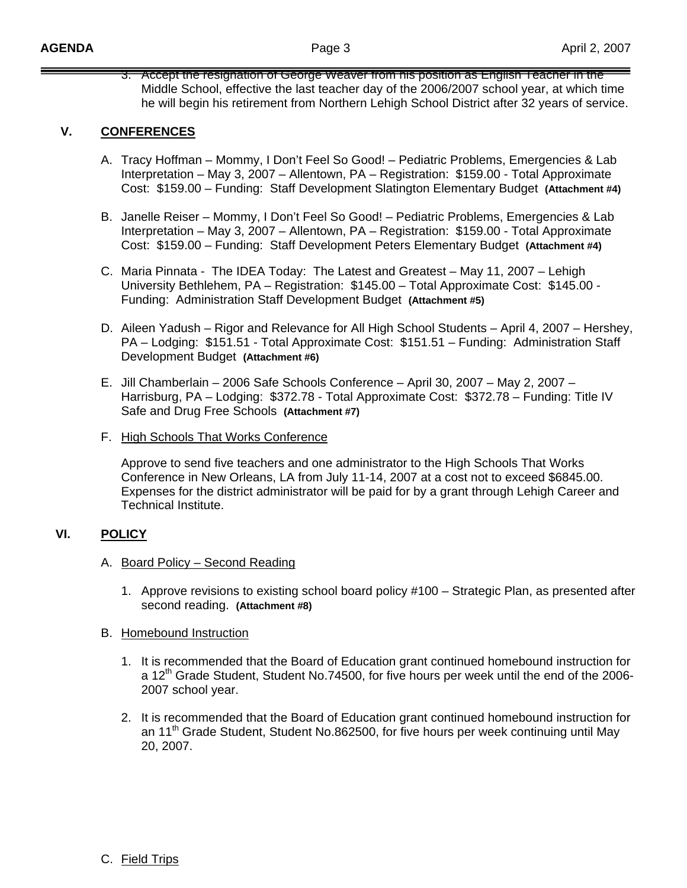3. Accept the resignation of George Weaver from his position as English Teacher in the Middle School, effective the last teacher day of the 2006/2007 school year, at which time he will begin his retirement from Northern Lehigh School District after 32 years of service.

# **V. CONFERENCES**

- A. Tracy Hoffman Mommy, I Don't Feel So Good! Pediatric Problems, Emergencies & Lab Interpretation – May 3, 2007 – Allentown, PA – Registration: \$159.00 - Total Approximate Cost: \$159.00 – Funding: Staff Development Slatington Elementary Budget **(Attachment #4)**
- B. Janelle Reiser Mommy, I Don't Feel So Good! Pediatric Problems, Emergencies & Lab Interpretation – May 3, 2007 – Allentown, PA – Registration: \$159.00 - Total Approximate Cost: \$159.00 – Funding: Staff Development Peters Elementary Budget **(Attachment #4)**
- C. Maria Pinnata The IDEA Today: The Latest and Greatest May 11, 2007 Lehigh University Bethlehem, PA – Registration: \$145.00 – Total Approximate Cost: \$145.00 - Funding: Administration Staff Development Budget **(Attachment #5)**
- D. Aileen Yadush Rigor and Relevance for All High School Students April 4, 2007 Hershey, PA – Lodging: \$151.51 - Total Approximate Cost: \$151.51 – Funding: Administration Staff Development Budget **(Attachment #6)**
- E. Jill Chamberlain 2006 Safe Schools Conference April 30, 2007 May 2, 2007 Harrisburg, PA – Lodging: \$372.78 - Total Approximate Cost: \$372.78 – Funding: Title IV Safe and Drug Free Schools **(Attachment #7)**
- F. High Schools That Works Conference

 Approve to send five teachers and one administrator to the High Schools That Works Conference in New Orleans, LA from July 11-14, 2007 at a cost not to exceed \$6845.00. Expenses for the district administrator will be paid for by a grant through Lehigh Career and Technical Institute.

## **VI. POLICY**

- A. Board Policy Second Reading
	- 1. Approve revisions to existing school board policy #100 Strategic Plan, as presented after second reading. **(Attachment #8)**
- B. Homebound Instruction
	- 1. It is recommended that the Board of Education grant continued homebound instruction for a 12<sup>th</sup> Grade Student, Student No.74500, for five hours per week until the end of the 2006-2007 school year.
	- 2. It is recommended that the Board of Education grant continued homebound instruction for an 11<sup>th</sup> Grade Student, Student No.862500, for five hours per week continuing until May 20, 2007.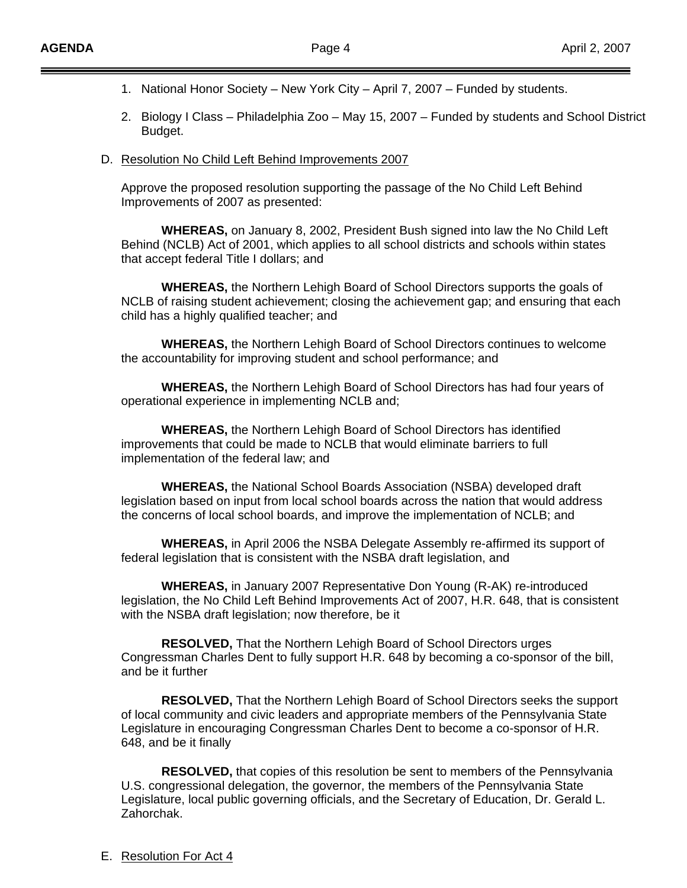- 1. National Honor Society New York City April 7, 2007 Funded by students.
- 2. Biology I Class Philadelphia Zoo May 15, 2007 Funded by students and School District Budget.
- D. Resolution No Child Left Behind Improvements 2007

 Approve the proposed resolution supporting the passage of the No Child Left Behind Improvements of 2007 as presented:

 **WHEREAS,** on January 8, 2002, President Bush signed into law the No Child Left Behind (NCLB) Act of 2001, which applies to all school districts and schools within states that accept federal Title I dollars; and

 **WHEREAS,** the Northern Lehigh Board of School Directors supports the goals of NCLB of raising student achievement; closing the achievement gap; and ensuring that each child has a highly qualified teacher; and

 **WHEREAS,** the Northern Lehigh Board of School Directors continues to welcome the accountability for improving student and school performance; and

 **WHEREAS,** the Northern Lehigh Board of School Directors has had four years of operational experience in implementing NCLB and;

 **WHEREAS,** the Northern Lehigh Board of School Directors has identified improvements that could be made to NCLB that would eliminate barriers to full implementation of the federal law; and

 **WHEREAS,** the National School Boards Association (NSBA) developed draft legislation based on input from local school boards across the nation that would address the concerns of local school boards, and improve the implementation of NCLB; and

 **WHEREAS,** in April 2006 the NSBA Delegate Assembly re-affirmed its support of federal legislation that is consistent with the NSBA draft legislation, and

 **WHEREAS,** in January 2007 Representative Don Young (R-AK) re-introduced legislation, the No Child Left Behind Improvements Act of 2007, H.R. 648, that is consistent with the NSBA draft legislation; now therefore, be it

 **RESOLVED,** That the Northern Lehigh Board of School Directors urges Congressman Charles Dent to fully support H.R. 648 by becoming a co-sponsor of the bill, and be it further

 **RESOLVED,** That the Northern Lehigh Board of School Directors seeks the support of local community and civic leaders and appropriate members of the Pennsylvania State Legislature in encouraging Congressman Charles Dent to become a co-sponsor of H.R. 648, and be it finally

 **RESOLVED,** that copies of this resolution be sent to members of the Pennsylvania U.S. congressional delegation, the governor, the members of the Pennsylvania State Legislature, local public governing officials, and the Secretary of Education, Dr. Gerald L. Zahorchak.

E. Resolution For Act 4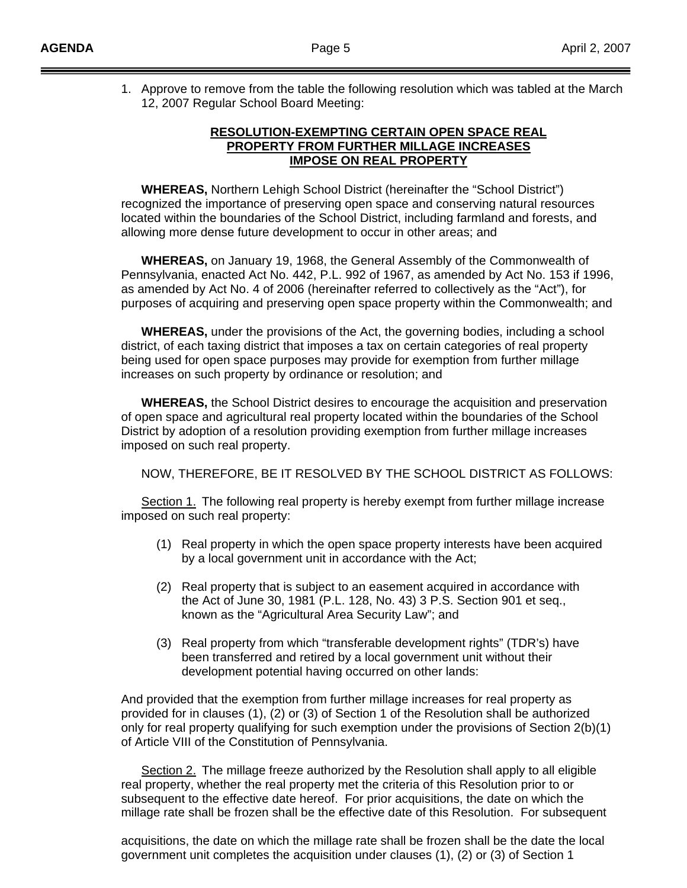1. Approve to remove from the table the following resolution which was tabled at the March 12, 2007 Regular School Board Meeting:

### **RESOLUTION-EXEMPTING CERTAIN OPEN SPACE REAL PROPERTY FROM FURTHER MILLAGE INCREASES IMPOSE ON REAL PROPERTY**

**WHEREAS,** Northern Lehigh School District (hereinafter the "School District") recognized the importance of preserving open space and conserving natural resources located within the boundaries of the School District, including farmland and forests, and allowing more dense future development to occur in other areas; and

**WHEREAS,** on January 19, 1968, the General Assembly of the Commonwealth of Pennsylvania, enacted Act No. 442, P.L. 992 of 1967, as amended by Act No. 153 if 1996, as amended by Act No. 4 of 2006 (hereinafter referred to collectively as the "Act"), for purposes of acquiring and preserving open space property within the Commonwealth; and

**WHEREAS,** under the provisions of the Act, the governing bodies, including a school district, of each taxing district that imposes a tax on certain categories of real property being used for open space purposes may provide for exemption from further millage increases on such property by ordinance or resolution; and

**WHEREAS,** the School District desires to encourage the acquisition and preservation of open space and agricultural real property located within the boundaries of the School District by adoption of a resolution providing exemption from further millage increases imposed on such real property.

NOW, THEREFORE, BE IT RESOLVED BY THE SCHOOL DISTRICT AS FOLLOWS:

 Section 1. The following real property is hereby exempt from further millage increase imposed on such real property:

- (1) Real property in which the open space property interests have been acquired by a local government unit in accordance with the Act;
- (2) Real property that is subject to an easement acquired in accordance with the Act of June 30, 1981 (P.L. 128, No. 43) 3 P.S. Section 901 et seq., known as the "Agricultural Area Security Law"; and
- (3) Real property from which "transferable development rights" (TDR's) have been transferred and retired by a local government unit without their development potential having occurred on other lands:

And provided that the exemption from further millage increases for real property as provided for in clauses (1), (2) or (3) of Section 1 of the Resolution shall be authorized only for real property qualifying for such exemption under the provisions of Section 2(b)(1) of Article VIII of the Constitution of Pennsylvania.

Section 2. The millage freeze authorized by the Resolution shall apply to all eligible real property, whether the real property met the criteria of this Resolution prior to or subsequent to the effective date hereof. For prior acquisitions, the date on which the millage rate shall be frozen shall be the effective date of this Resolution. For subsequent

acquisitions, the date on which the millage rate shall be frozen shall be the date the local government unit completes the acquisition under clauses (1), (2) or (3) of Section 1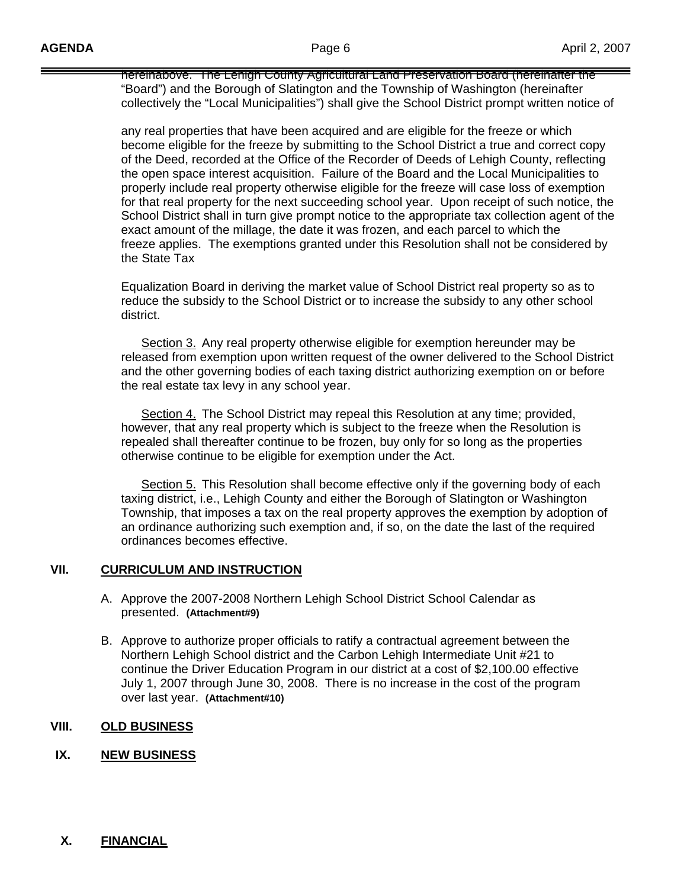hereinabove. The Lehigh County Agricultural Land Preservation Board (hereinafter the "Board") and the Borough of Slatington and the Township of Washington (hereinafter collectively the "Local Municipalities") shall give the School District prompt written notice of

any real properties that have been acquired and are eligible for the freeze or which become eligible for the freeze by submitting to the School District a true and correct copy of the Deed, recorded at the Office of the Recorder of Deeds of Lehigh County, reflecting the open space interest acquisition. Failure of the Board and the Local Municipalities to properly include real property otherwise eligible for the freeze will case loss of exemption for that real property for the next succeeding school year. Upon receipt of such notice, the School District shall in turn give prompt notice to the appropriate tax collection agent of the exact amount of the millage, the date it was frozen, and each parcel to which the freeze applies. The exemptions granted under this Resolution shall not be considered by the State Tax

Equalization Board in deriving the market value of School District real property so as to reduce the subsidy to the School District or to increase the subsidy to any other school district.

 Section 3. Any real property otherwise eligible for exemption hereunder may be released from exemption upon written request of the owner delivered to the School District and the other governing bodies of each taxing district authorizing exemption on or before the real estate tax levy in any school year.

Section 4. The School District may repeal this Resolution at any time; provided, however, that any real property which is subject to the freeze when the Resolution is repealed shall thereafter continue to be frozen, buy only for so long as the properties otherwise continue to be eligible for exemption under the Act.

 Section 5. This Resolution shall become effective only if the governing body of each taxing district, i.e., Lehigh County and either the Borough of Slatington or Washington Township, that imposes a tax on the real property approves the exemption by adoption of an ordinance authorizing such exemption and, if so, on the date the last of the required ordinances becomes effective.

### **VII. CURRICULUM AND INSTRUCTION**

- A. Approve the 2007-2008 Northern Lehigh School District School Calendar as presented. **(Attachment#9)**
- B. Approve to authorize proper officials to ratify a contractual agreement between the Northern Lehigh School district and the Carbon Lehigh Intermediate Unit #21 to continue the Driver Education Program in our district at a cost of \$2,100.00 effective July 1, 2007 through June 30, 2008. There is no increase in the cost of the program over last year. **(Attachment#10)**

## **VIII. OLD BUSINESS**

## **IX. NEW BUSINESS**

### **X. FINANCIAL**